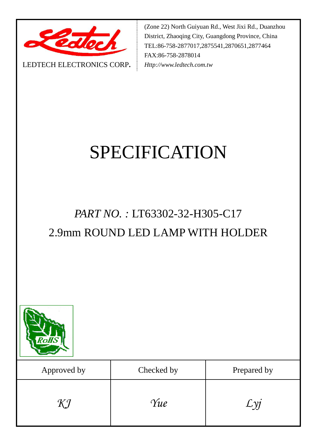

LEDTECH ELECTRONICS CORP**.**

(Zone 22) North Guiyuan Rd., West Jixi Rd., Duanzhou District, Zhaoqing City, Guangdong Province, China TEL:86-758-2877017,2875541,2870651,2877464 FAX:86-758-2878014 *Http://www.ledtech.com.tw*

# SPECIFICATION

### *PART NO. :* LT63302-32-H305-C17 2.9mm ROUND LED LAMP WITH HOLDER



| Approved by | Checked by | Prepared by |
|-------------|------------|-------------|
| KJ          | Yue        |             |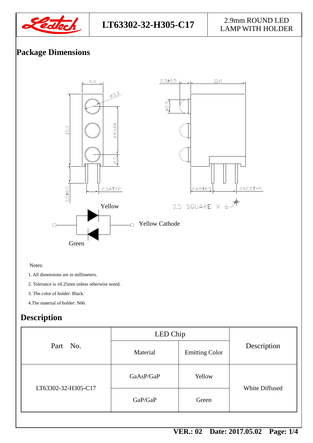

### **LT63302-32-H305-C17** 2.9mm ROUND LED

# LAMP WITH HOLDER

#### **Package Dimensions**



Notes:

1. All dimensions are in millimeters.

2. Tolerance is ±0.25mm unless otherwise noted.

3. The color of holder: Black.

4.The material of holder: N66.

#### **Description**

| Part No.            | LED Chip  |                       |                |  |
|---------------------|-----------|-----------------------|----------------|--|
|                     | Material  | <b>Emitting Color</b> | Description    |  |
| LT63302-32-H305-C17 | GaAsP/GaP | Yellow                | White Diffused |  |
|                     | GaP/GaP   | Green                 |                |  |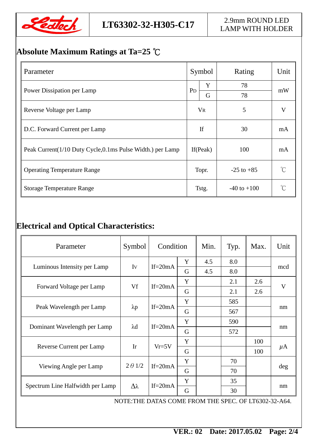

#### **Absolute Maximum Ratings at Ta=25** ℃

| Parameter                                                    | Symbol         |       | Rating          | Unit |  |
|--------------------------------------------------------------|----------------|-------|-----------------|------|--|
|                                                              | P <sub>D</sub> | Y     | 78              |      |  |
| Power Dissipation per Lamp                                   |                | G     | 78              | mW   |  |
| Reverse Voltage per Lamp                                     | <b>VR</b>      |       | 5               | V    |  |
| D.C. Forward Current per Lamp                                | If             |       | 30              | mA   |  |
| Peak Current (1/10 Duty Cycle, 0.1 ms Pulse Width.) per Lamp | If (Peak)      |       | 100             | mA   |  |
| <b>Operating Temperature Range</b>                           | Topr.          |       | $-25$ to $+85$  |      |  |
| <b>Storage Temperature Range</b>                             |                | Tstg. | $-40$ to $+100$ |      |  |

#### **Electrical and Optical Characteristics:**

| Parameter                                             | Symbol          | Condition   |   | Min. | Typ. | Max. | Unit    |
|-------------------------------------------------------|-----------------|-------------|---|------|------|------|---------|
| Luminous Intensity per Lamp                           | Iv              | If= $20mA$  | Y | 4.5  | 8.0  |      | mcd     |
|                                                       |                 |             | G | 4.5  | 8.0  |      |         |
| Forward Voltage per Lamp                              | Vf              | If= $20mA$  | Y |      | 2.1  | 2.6  | V       |
|                                                       |                 |             | G |      | 2.1  | 2.6  |         |
| Peak Wavelength per Lamp                              | $\lambda p$     | If= $20mA$  | Y |      | 585  |      | nm      |
|                                                       |                 |             | G |      | 567  |      |         |
| Dominant Wavelength per Lamp                          | $\lambda$ d     | $If = 20mA$ | Y |      | 590  |      | nm      |
|                                                       |                 |             | G |      | 572  |      |         |
| Reverse Current per Lamp                              | Ir              | $Vr=5V$     | Y |      |      | 100  | $\mu$ A |
|                                                       |                 |             | G |      |      | 100  |         |
| Viewing Angle per Lamp                                | $2 \theta$ 1/2  | If= $20mA$  | Y |      | 70   |      | deg     |
|                                                       |                 |             | G |      | 70   |      |         |
| Spectrum Line Halfwidth per Lamp                      | $\Delta\lambda$ | If= $20mA$  | Y |      | 35   |      | nm      |
|                                                       |                 |             | G |      | 30   |      |         |
| NOTE: THE DATAS COME FROM THE SPEC. OF LT6302-32-A64. |                 |             |   |      |      |      |         |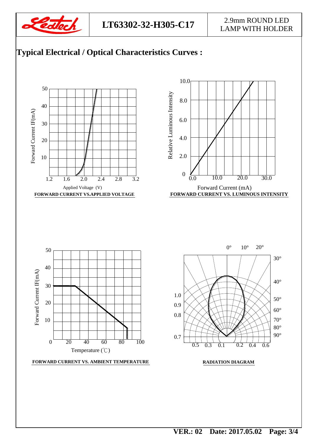

#### **LT63302-32-H305-C17** 2.9mm ROUND LED LAMP WITH HOLDER